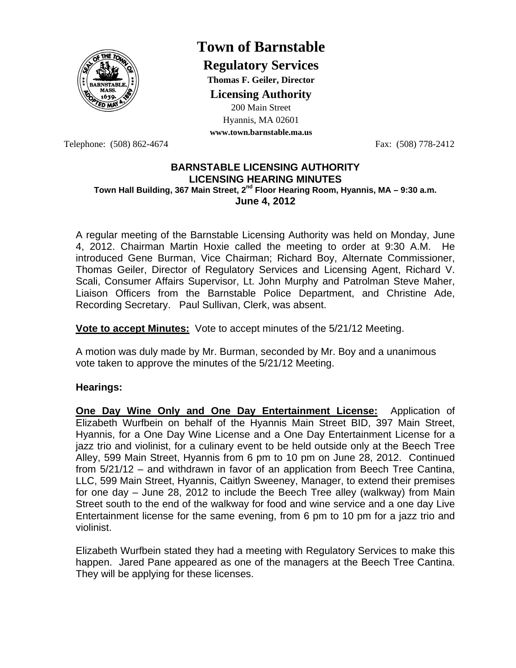

# **Town of Barnstable**

**Regulatory Services**

**Thomas F. Geiler, Director** 

**Licensing Authority**

200 Main Street Hyannis, MA 02601

**www.town.barnstable.ma.us**

Telephone: (508) 862-4674 Fax: (508) 778-2412

## **BARNSTABLE LICENSING AUTHORITY LICENSING HEARING MINUTES Town Hall Building, 367 Main Street, 2nd Floor Hearing Room, Hyannis, MA – 9:30 a.m. June 4, 2012**

A regular meeting of the Barnstable Licensing Authority was held on Monday, June 4, 2012. Chairman Martin Hoxie called the meeting to order at 9:30 A.M. He introduced Gene Burman, Vice Chairman; Richard Boy, Alternate Commissioner, Thomas Geiler, Director of Regulatory Services and Licensing Agent, Richard V. Scali, Consumer Affairs Supervisor, Lt. John Murphy and Patrolman Steve Maher, Liaison Officers from the Barnstable Police Department, and Christine Ade, Recording Secretary. Paul Sullivan, Clerk, was absent.

**Vote to accept Minutes:** Vote to accept minutes of the 5/21/12 Meeting.

A motion was duly made by Mr. Burman, seconded by Mr. Boy and a unanimous vote taken to approve the minutes of the 5/21/12 Meeting.

# **Hearings:**

**One Day Wine Only and One Day Entertainment License:** Application of Elizabeth Wurfbein on behalf of the Hyannis Main Street BID, 397 Main Street, Hyannis, for a One Day Wine License and a One Day Entertainment License for a jazz trio and violinist, for a culinary event to be held outside only at the Beech Tree Alley, 599 Main Street, Hyannis from 6 pm to 10 pm on June 28, 2012. Continued from 5/21/12 – and withdrawn in favor of an application from Beech Tree Cantina, LLC, 599 Main Street, Hyannis, Caitlyn Sweeney, Manager, to extend their premises for one day – June 28, 2012 to include the Beech Tree alley (walkway) from Main Street south to the end of the walkway for food and wine service and a one day Live Entertainment license for the same evening, from 6 pm to 10 pm for a jazz trio and violinist.

Elizabeth Wurfbein stated they had a meeting with Regulatory Services to make this happen. Jared Pane appeared as one of the managers at the Beech Tree Cantina. They will be applying for these licenses.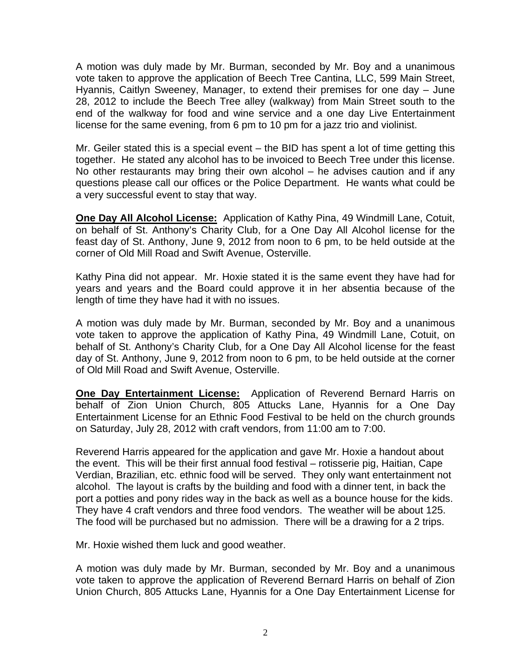A motion was duly made by Mr. Burman, seconded by Mr. Boy and a unanimous vote taken to approve the application of Beech Tree Cantina, LLC, 599 Main Street, Hyannis, Caitlyn Sweeney, Manager, to extend their premises for one day – June 28, 2012 to include the Beech Tree alley (walkway) from Main Street south to the end of the walkway for food and wine service and a one day Live Entertainment license for the same evening, from 6 pm to 10 pm for a jazz trio and violinist.

Mr. Geiler stated this is a special event – the BID has spent a lot of time getting this together. He stated any alcohol has to be invoiced to Beech Tree under this license. No other restaurants may bring their own alcohol – he advises caution and if any questions please call our offices or the Police Department. He wants what could be a very successful event to stay that way.

**One Day All Alcohol License:** Application of Kathy Pina, 49 Windmill Lane, Cotuit, on behalf of St. Anthony's Charity Club, for a One Day All Alcohol license for the feast day of St. Anthony, June 9, 2012 from noon to 6 pm, to be held outside at the corner of Old Mill Road and Swift Avenue, Osterville.

Kathy Pina did not appear. Mr. Hoxie stated it is the same event they have had for years and years and the Board could approve it in her absentia because of the length of time they have had it with no issues.

A motion was duly made by Mr. Burman, seconded by Mr. Boy and a unanimous vote taken to approve the application of Kathy Pina, 49 Windmill Lane, Cotuit, on behalf of St. Anthony's Charity Club, for a One Day All Alcohol license for the feast day of St. Anthony, June 9, 2012 from noon to 6 pm, to be held outside at the corner of Old Mill Road and Swift Avenue, Osterville.

**One Day Entertainment License:** Application of Reverend Bernard Harris on behalf of Zion Union Church, 805 Attucks Lane, Hyannis for a One Day Entertainment License for an Ethnic Food Festival to be held on the church grounds on Saturday, July 28, 2012 with craft vendors, from 11:00 am to 7:00.

Reverend Harris appeared for the application and gave Mr. Hoxie a handout about the event. This will be their first annual food festival – rotisserie pig, Haitian, Cape Verdian, Brazilian, etc. ethnic food will be served. They only want entertainment not alcohol. The layout is crafts by the building and food with a dinner tent, in back the port a potties and pony rides way in the back as well as a bounce house for the kids. They have 4 craft vendors and three food vendors. The weather will be about 125. The food will be purchased but no admission. There will be a drawing for a 2 trips.

Mr. Hoxie wished them luck and good weather.

A motion was duly made by Mr. Burman, seconded by Mr. Boy and a unanimous vote taken to approve the application of Reverend Bernard Harris on behalf of Zion Union Church, 805 Attucks Lane, Hyannis for a One Day Entertainment License for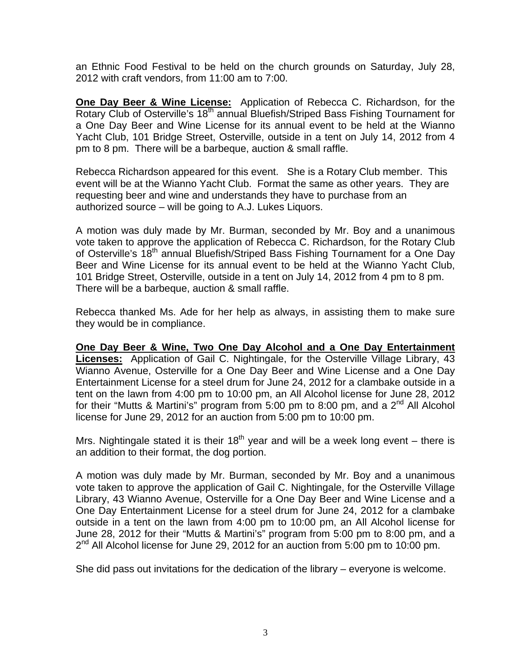an Ethnic Food Festival to be held on the church grounds on Saturday, July 28, 2012 with craft vendors, from 11:00 am to 7:00.

**One Day Beer & Wine License:** Application of Rebecca C. Richardson, for the Rotary Club of Osterville's 18<sup>th</sup> annual Bluefish/Striped Bass Fishing Tournament for a One Day Beer and Wine License for its annual event to be held at the Wianno Yacht Club, 101 Bridge Street, Osterville, outside in a tent on July 14, 2012 from 4 pm to 8 pm. There will be a barbeque, auction & small raffle.

Rebecca Richardson appeared for this event. She is a Rotary Club member. This event will be at the Wianno Yacht Club. Format the same as other years. They are requesting beer and wine and understands they have to purchase from an authorized source – will be going to A.J. Lukes Liquors.

A motion was duly made by Mr. Burman, seconded by Mr. Boy and a unanimous vote taken to approve the application of Rebecca C. Richardson, for the Rotary Club of Osterville's 18<sup>th</sup> annual Bluefish/Striped Bass Fishing Tournament for a One Day Beer and Wine License for its annual event to be held at the Wianno Yacht Club, 101 Bridge Street, Osterville, outside in a tent on July 14, 2012 from 4 pm to 8 pm. There will be a barbeque, auction & small raffle.

Rebecca thanked Ms. Ade for her help as always, in assisting them to make sure they would be in compliance.

**One Day Beer & Wine, Two One Day Alcohol and a One Day Entertainment Licenses:** Application of Gail C. Nightingale, for the Osterville Village Library, 43 Wianno Avenue, Osterville for a One Day Beer and Wine License and a One Day Entertainment License for a steel drum for June 24, 2012 for a clambake outside in a tent on the lawn from 4:00 pm to 10:00 pm, an All Alcohol license for June 28, 2012 for their "Mutts & Martini's" program from 5:00 pm to 8:00 pm, and a 2<sup>nd</sup> All Alcohol license for June 29, 2012 for an auction from 5:00 pm to 10:00 pm.

Mrs. Nightingale stated it is their  $18<sup>th</sup>$  year and will be a week long event – there is an addition to their format, the dog portion.

A motion was duly made by Mr. Burman, seconded by Mr. Boy and a unanimous vote taken to approve the application of Gail C. Nightingale, for the Osterville Village Library, 43 Wianno Avenue, Osterville for a One Day Beer and Wine License and a One Day Entertainment License for a steel drum for June 24, 2012 for a clambake outside in a tent on the lawn from 4:00 pm to 10:00 pm, an All Alcohol license for June 28, 2012 for their "Mutts & Martini's" program from 5:00 pm to 8:00 pm, and a  $2<sup>nd</sup>$  All Alcohol license for June 29, 2012 for an auction from 5:00 pm to 10:00 pm.

She did pass out invitations for the dedication of the library – everyone is welcome.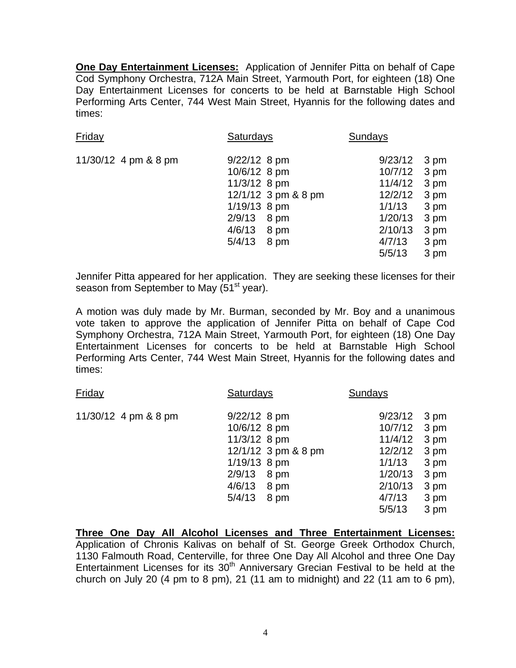**One Day Entertainment Licenses:** Application of Jennifer Pitta on behalf of Cape Cod Symphony Orchestra, 712A Main Street, Yarmouth Port, for eighteen (18) One Day Entertainment Licenses for concerts to be held at Barnstable High School Performing Arts Center, 744 West Main Street, Hyannis for the following dates and times:

| Friday               | <b>Saturdays</b>                                                                                                                          | <b>Sundays</b>                                                                               |                                                                      |
|----------------------|-------------------------------------------------------------------------------------------------------------------------------------------|----------------------------------------------------------------------------------------------|----------------------------------------------------------------------|
| 11/30/12 4 pm & 8 pm | 9/22/12 8 pm<br>10/6/12 8 pm<br>11/3/12 8 pm<br>12/1/12 3 pm & 8 pm<br>1/19/13 8 pm<br>2/9/13<br>8 pm<br>4/6/13<br>8 pm<br>5/4/13<br>8 pm | 9/23/12<br>10/7/12<br>11/4/12<br>12/2/12<br>1/1/13<br>1/20/13<br>2/10/13<br>4/7/13<br>5/5/13 | 3 pm<br>3 pm<br>3 pm<br>3 pm<br>3 pm<br>3 pm<br>3 pm<br>3 pm<br>3 pm |
|                      |                                                                                                                                           |                                                                                              |                                                                      |

Jennifer Pitta appeared for her application. They are seeking these licenses for their season from September to May (51<sup>st</sup> year).

A motion was duly made by Mr. Burman, seconded by Mr. Boy and a unanimous vote taken to approve the application of Jennifer Pitta on behalf of Cape Cod Symphony Orchestra, 712A Main Street, Yarmouth Port, for eighteen (18) One Day Entertainment Licenses for concerts to be held at Barnstable High School Performing Arts Center, 744 West Main Street, Hyannis for the following dates and times:

| Friday               | <b>Saturdays</b>                                                    | Sundays                                  |                              |
|----------------------|---------------------------------------------------------------------|------------------------------------------|------------------------------|
| 11/30/12 4 pm & 8 pm | 9/22/12 8 pm<br>10/6/12 8 pm<br>11/3/12 8 pm<br>12/1/12 3 pm & 8 pm | 9/23/12<br>10/7/12<br>11/4/12<br>12/2/12 | 3 pm<br>3 pm<br>3 pm<br>3 pm |
|                      | 1/19/13 8 pm<br>2/9/13<br>8 pm<br>4/6/13<br>8 pm                    | 1/1/13<br>1/20/13<br>2/10/13             | 3 pm<br>3 pm<br>3 pm         |
|                      | 5/4/13<br>8 pm                                                      | 4/7/13<br>5/5/13                         | 3 pm<br>3 pm                 |

**Three One Day All Alcohol Licenses and Three Entertainment Licenses:** Application of Chronis Kalivas on behalf of St. George Greek Orthodox Church, 1130 Falmouth Road, Centerville, for three One Day All Alcohol and three One Day Entertainment Licenses for its  $30<sup>th</sup>$  Anniversary Grecian Festival to be held at the church on July 20 (4 pm to 8 pm), 21 (11 am to midnight) and 22 (11 am to 6 pm),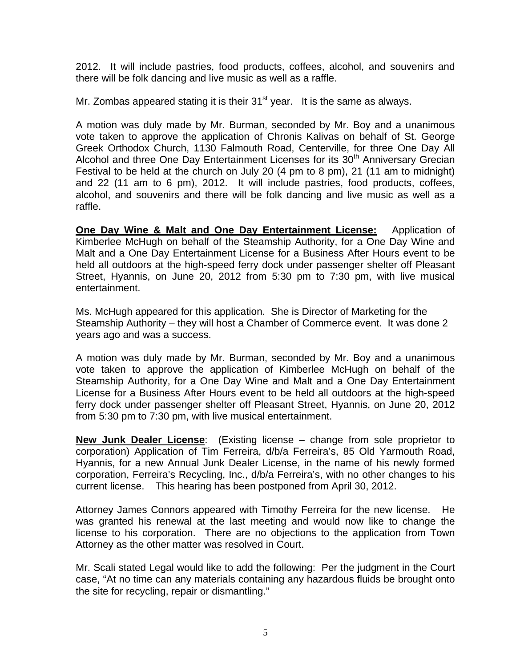2012. It will include pastries, food products, coffees, alcohol, and souvenirs and there will be folk dancing and live music as well as a raffle.

Mr. Zombas appeared stating it is their  $31<sup>st</sup>$  year. It is the same as always.

A motion was duly made by Mr. Burman, seconded by Mr. Boy and a unanimous vote taken to approve the application of Chronis Kalivas on behalf of St. George Greek Orthodox Church, 1130 Falmouth Road, Centerville, for three One Day All Alcohol and three One Day Entertainment Licenses for its 30<sup>th</sup> Anniversary Grecian Festival to be held at the church on July 20 (4 pm to 8 pm), 21 (11 am to midnight) and 22 (11 am to 6 pm), 2012. It will include pastries, food products, coffees, alcohol, and souvenirs and there will be folk dancing and live music as well as a raffle.

**One Day Wine & Malt and One Day Entertainment License:** Application of Kimberlee McHugh on behalf of the Steamship Authority, for a One Day Wine and Malt and a One Day Entertainment License for a Business After Hours event to be held all outdoors at the high-speed ferry dock under passenger shelter off Pleasant Street, Hyannis, on June 20, 2012 from 5:30 pm to 7:30 pm, with live musical entertainment.

Ms. McHugh appeared for this application. She is Director of Marketing for the Steamship Authority – they will host a Chamber of Commerce event. It was done 2 years ago and was a success.

A motion was duly made by Mr. Burman, seconded by Mr. Boy and a unanimous vote taken to approve the application of Kimberlee McHugh on behalf of the Steamship Authority, for a One Day Wine and Malt and a One Day Entertainment License for a Business After Hours event to be held all outdoors at the high-speed ferry dock under passenger shelter off Pleasant Street, Hyannis, on June 20, 2012 from 5:30 pm to 7:30 pm, with live musical entertainment.

**New Junk Dealer License**: (Existing license – change from sole proprietor to corporation) Application of Tim Ferreira, d/b/a Ferreira's, 85 Old Yarmouth Road, Hyannis, for a new Annual Junk Dealer License, in the name of his newly formed corporation, Ferreira's Recycling, Inc., d/b/a Ferreira's, with no other changes to his current license. This hearing has been postponed from April 30, 2012.

Attorney James Connors appeared with Timothy Ferreira for the new license. He was granted his renewal at the last meeting and would now like to change the license to his corporation. There are no objections to the application from Town Attorney as the other matter was resolved in Court.

Mr. Scali stated Legal would like to add the following: Per the judgment in the Court case, "At no time can any materials containing any hazardous fluids be brought onto the site for recycling, repair or dismantling."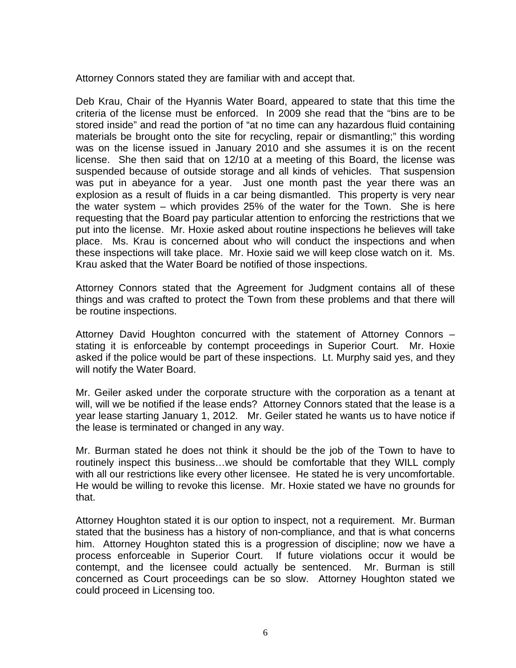Attorney Connors stated they are familiar with and accept that.

Deb Krau, Chair of the Hyannis Water Board, appeared to state that this time the criteria of the license must be enforced. In 2009 she read that the "bins are to be stored inside" and read the portion of "at no time can any hazardous fluid containing materials be brought onto the site for recycling, repair or dismantling;" this wording was on the license issued in January 2010 and she assumes it is on the recent license. She then said that on 12/10 at a meeting of this Board, the license was suspended because of outside storage and all kinds of vehicles. That suspension was put in abeyance for a year. Just one month past the year there was an explosion as a result of fluids in a car being dismantled. This property is very near the water system – which provides 25% of the water for the Town. She is here requesting that the Board pay particular attention to enforcing the restrictions that we put into the license. Mr. Hoxie asked about routine inspections he believes will take place. Ms. Krau is concerned about who will conduct the inspections and when these inspections will take place. Mr. Hoxie said we will keep close watch on it. Ms. Krau asked that the Water Board be notified of those inspections.

Attorney Connors stated that the Agreement for Judgment contains all of these things and was crafted to protect the Town from these problems and that there will be routine inspections.

Attorney David Houghton concurred with the statement of Attorney Connors – stating it is enforceable by contempt proceedings in Superior Court. Mr. Hoxie asked if the police would be part of these inspections. Lt. Murphy said yes, and they will notify the Water Board.

Mr. Geiler asked under the corporate structure with the corporation as a tenant at will, will we be notified if the lease ends? Attorney Connors stated that the lease is a year lease starting January 1, 2012. Mr. Geiler stated he wants us to have notice if the lease is terminated or changed in any way.

Mr. Burman stated he does not think it should be the job of the Town to have to routinely inspect this business…we should be comfortable that they WILL comply with all our restrictions like every other licensee. He stated he is very uncomfortable. He would be willing to revoke this license. Mr. Hoxie stated we have no grounds for that.

Attorney Houghton stated it is our option to inspect, not a requirement. Mr. Burman stated that the business has a history of non-compliance, and that is what concerns him. Attorney Houghton stated this is a progression of discipline; now we have a process enforceable in Superior Court. If future violations occur it would be contempt, and the licensee could actually be sentenced. Mr. Burman is still concerned as Court proceedings can be so slow. Attorney Houghton stated we could proceed in Licensing too.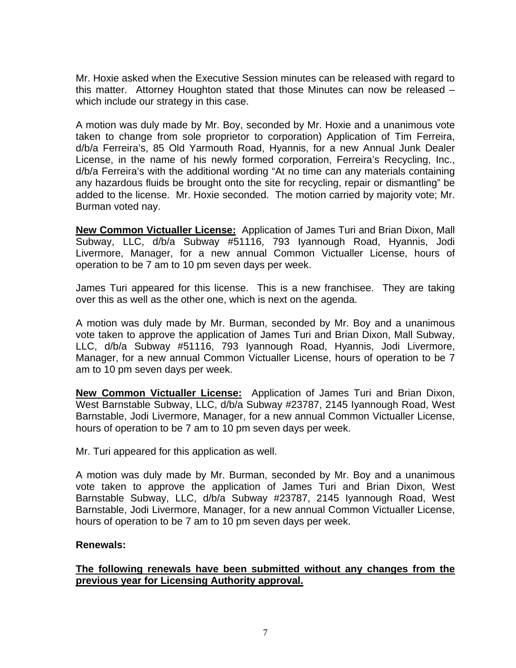Mr. Hoxie asked when the Executive Session minutes can be released with regard to this matter. Attorney Houghton stated that those Minutes can now be released – which include our strategy in this case.

A motion was duly made by Mr. Boy, seconded by Mr. Hoxie and a unanimous vote taken to change from sole proprietor to corporation) Application of Tim Ferreira, d/b/a Ferreira's, 85 Old Yarmouth Road, Hyannis, for a new Annual Junk Dealer License, in the name of his newly formed corporation, Ferreira's Recycling, Inc., d/b/a Ferreira's with the additional wording "At no time can any materials containing any hazardous fluids be brought onto the site for recycling, repair or dismantling" be added to the license. Mr. Hoxie seconded. The motion carried by majority vote; Mr. Burman voted nay.

**New Common Victualler License:** Application of James Turi and Brian Dixon, Mall Subway, LLC, d/b/a Subway #51116, 793 Iyannough Road, Hyannis, Jodi Livermore, Manager, for a new annual Common Victualler License, hours of operation to be 7 am to 10 pm seven days per week.

James Turi appeared for this license. This is a new franchisee. They are taking over this as well as the other one, which is next on the agenda.

A motion was duly made by Mr. Burman, seconded by Mr. Boy and a unanimous vote taken to approve the application of James Turi and Brian Dixon, Mall Subway, LLC, d/b/a Subway #51116, 793 Iyannough Road, Hyannis, Jodi Livermore, Manager, for a new annual Common Victualler License, hours of operation to be 7 am to 10 pm seven days per week.

**New Common Victualler License:** Application of James Turi and Brian Dixon, West Barnstable Subway, LLC, d/b/a Subway #23787, 2145 Iyannough Road, West Barnstable, Jodi Livermore, Manager, for a new annual Common Victualler License, hours of operation to be 7 am to 10 pm seven days per week.

Mr. Turi appeared for this application as well.

A motion was duly made by Mr. Burman, seconded by Mr. Boy and a unanimous vote taken to approve the application of James Turi and Brian Dixon, West Barnstable Subway, LLC, d/b/a Subway #23787, 2145 Iyannough Road, West Barnstable, Jodi Livermore, Manager, for a new annual Common Victualler License, hours of operation to be 7 am to 10 pm seven days per week.

#### **Renewals:**

**The following renewals have been submitted without any changes from the previous year for Licensing Authority approval.**